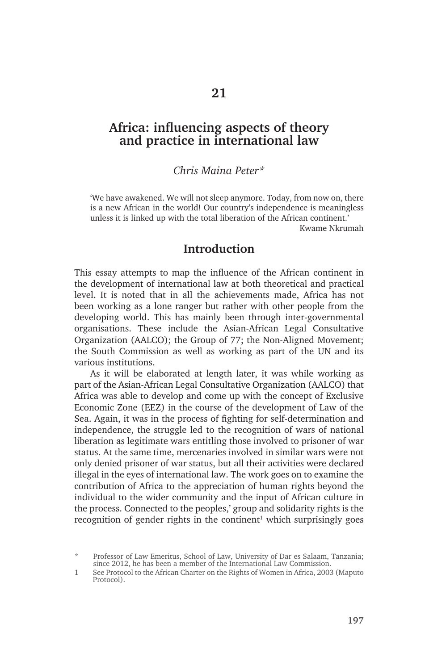# **Africa: influencing aspects of theory and practice in international law**

#### *Chris Maina Peter\**

'We have awakened. We will not sleep anymore. Today, from now on, there is a new African in the world! Our country's independence is meaningless unless it is linked up with the total liberation of the African continent.' Kwame Nkrumah

## **Introduction**

This essay attempts to map the influence of the African continent in the development of international law at both theoretical and practical level. It is noted that in all the achievements made, Africa has not been working as a lone ranger but rather with other people from the developing world. This has mainly been through inter-governmental organisations. These include the Asian-African Legal Consultative Organization (AALCO); the Group of 77; the Non-Aligned Movement; the South Commission as well as working as part of the UN and its various institutions.

As it will be elaborated at length later, it was while working as part of the Asian-African Legal Consultative Organization (AALCO) that Africa was able to develop and come up with the concept of Exclusive Economic Zone (EEZ) in the course of the development of Law of the Sea. Again, it was in the process of fighting for self-determination and independence, the struggle led to the recognition of wars of national liberation as legitimate wars entitling those involved to prisoner of war status. At the same time, mercenaries involved in similar wars were not only denied prisoner of war status, but all their activities were declared illegal in the eyes of international law. The work goes on to examine the contribution of Africa to the appreciation of human rights beyond the individual to the wider community and the input of African culture in the process. Connected to the peoples,' group and solidarity rights is the recognition of gender rights in the continent<sup>1</sup> which surprisingly goes

<sup>\*</sup> Professor of Law Emeritus, School of Law, University of Dar es Salaam, Tanzania; since 2012, he has been a member of the International Law Commission.

<sup>1</sup> See Protocol to the African Charter on the Rights of Women in Africa, 2003 (Maputo Protocol).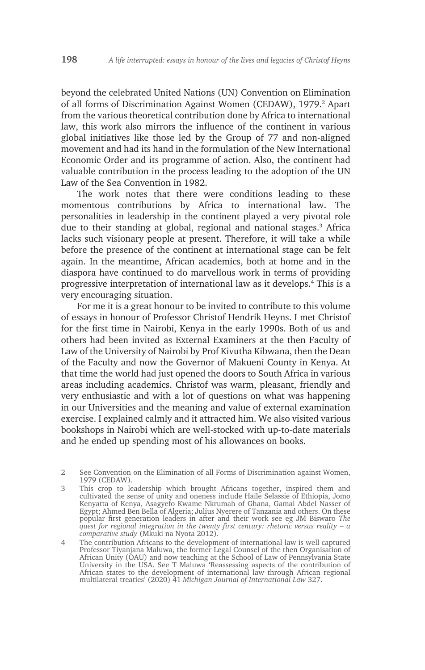beyond the celebrated United Nations (UN) Convention on Elimination of all forms of Discrimination Against Women (CEDAW), 1979.<sup>2</sup> Apart from the various theoretical contribution done by Africa to international law, this work also mirrors the influence of the continent in various global initiatives like those led by the Group of 77 and non-aligned movement and had its hand in the formulation of the New International Economic Order and its programme of action. Also, the continent had valuable contribution in the process leading to the adoption of the UN Law of the Sea Convention in 1982.

The work notes that there were conditions leading to these momentous contributions by Africa to international law. The personalities in leadership in the continent played a very pivotal role due to their standing at global, regional and national stages.<sup>3</sup> Africa lacks such visionary people at present. Therefore, it will take a while before the presence of the continent at international stage can be felt again. In the meantime, African academics, both at home and in the diaspora have continued to do marvellous work in terms of providing progressive interpretation of international law as it develops.4 This is a very encouraging situation.

For me it is a great honour to be invited to contribute to this volume of essays in honour of Professor Christof Hendrik Heyns. I met Christof for the first time in Nairobi, Kenya in the early 1990s. Both of us and others had been invited as External Examiners at the then Faculty of Law of the University of Nairobi by Prof Kivutha Kibwana, then the Dean of the Faculty and now the Governor of Makueni County in Kenya. At that time the world had just opened the doors to South Africa in various areas including academics. Christof was warm, pleasant, friendly and very enthusiastic and with a lot of questions on what was happening in our Universities and the meaning and value of external examination exercise. I explained calmly and it attracted him. We also visited various bookshops in Nairobi which are well-stocked with up-to-date materials and he ended up spending most of his allowances on books.

2 See Convention on the Elimination of all Forms of Discrimination against Women, 1979 (CEDAW).

3 This crop to leadership which brought Africans together, inspired them and cultivated the sense of unity and oneness include Haile Selassie of Ethiopia, Jomo Kenyatta of Kenya, Asagyefo Kwame Nkrumah of Ghana, Gamal Abdel Nasser of Egypt; Ahmed Ben Bella of Algeria; Julius Nyerere of Tanzania and others. On these popular first generation leaders in after and their work see eg JM Biswaro *The quest for regional integration in the twenty first century: rhetoric versus reality – a comparative study* (Mkuki na Nyota 2012).

4 The contribution Africans to the development of international law is well captured Professor Tiyanjana Maluwa, the former Legal Counsel of the then Organisation of African Unity (OAU) and now teaching at the School of Law of Pennsylvania State University in the USA. See T Maluwa 'Reassessing aspects of the contribution of African states to the development of international law through African regional multilateral treaties' (2020) 41 *Michigan Journal of International Law* 327.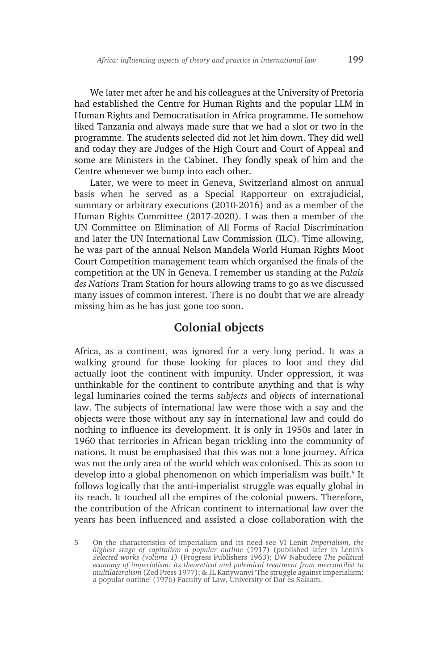We later met after he and his colleagues at the University of Pretoria had established the Centre for Human Rights and the popular LLM in Human Rights and Democratisation in Africa programme. He somehow liked Tanzania and always made sure that we had a slot or two in the programme. The students selected did not let him down. They did well and today they are Judges of the High Court and Court of Appeal and some are Ministers in the Cabinet. They fondly speak of him and the Centre whenever we bump into each other.

Later, we were to meet in Geneva, Switzerland almost on annual basis when he served as a Special Rapporteur on extrajudicial, summary or arbitrary executions (2010-2016) and as a member of the Human Rights Committee (2017-2020). I was then a member of the UN Committee on Elimination of All Forms of Racial Discrimination and later the UN International Law Commission (ILC). Time allowing, he was part of the annual Nelson Mandela World Human Rights Moot Court Competition management team which organised the finals of the competition at the UN in Geneva. I remember us standing at the *Palais des Nations* Tram Station for hours allowing trams to go as we discussed many issues of common interest. There is no doubt that we are already missing him as he has just gone too soon.

## **Colonial objects**

Africa, as a continent, was ignored for a very long period. It was a walking ground for those looking for places to loot and they did actually loot the continent with impunity. Under oppression, it was unthinkable for the continent to contribute anything and that is why legal luminaries coined the terms s*ubjects* and *objects* of international law. The subjects of international law were those with a say and the objects were those without any say in international law and could do nothing to influence its development. It is only in 1950s and later in 1960 that territories in African began trickling into the community of nations. It must be emphasised that this was not a lone journey. Africa was not the only area of the world which was colonised. This as soon to develop into a global phenomenon on which imperialism was built.<sup>5</sup> It follows logically that the anti-imperialist struggle was equally global in its reach. It touched all the empires of the colonial powers. Therefore, the contribution of the African continent to international law over the years has been influenced and assisted a close collaboration with the

<sup>5</sup> On the characteristics of imperialism and its need see VI Lenin *Imperialism, the highest stage of capitalism a popular outline* (1917) (published later in Lenin's *Selected works (volume 1)* (Progress Publishers 1963); DW Nabudere *The political economy of imperialism: its theoretical and polemical treatment from mercantilist to multilateralism* (Zed Press 1977); & JL Kanywanyi 'The struggle against imperialism: a popular outline' (1976) Faculty of Law, University of Dar es Salaam.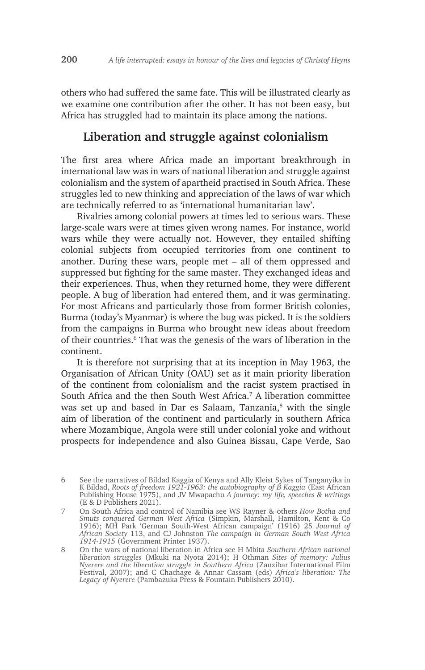others who had suffered the same fate. This will be illustrated clearly as we examine one contribution after the other. It has not been easy, but Africa has struggled had to maintain its place among the nations.

## **Liberation and struggle against colonialism**

The first area where Africa made an important breakthrough in international law was in wars of national liberation and struggle against colonialism and the system of apartheid practised in South Africa. These struggles led to new thinking and appreciation of the laws of war which are technically referred to as 'international humanitarian law'.

Rivalries among colonial powers at times led to serious wars. These large-scale wars were at times given wrong names. For instance, world wars while they were actually not. However, they entailed shifting colonial subjects from occupied territories from one continent to another. During these wars, people met – all of them oppressed and suppressed but fighting for the same master. They exchanged ideas and their experiences. Thus, when they returned home, they were different people. A bug of liberation had entered them, and it was germinating. For most Africans and particularly those from former British colonies, Burma (today's Myanmar) is where the bug was picked. It is the soldiers from the campaigns in Burma who brought new ideas about freedom of their countries.<sup>6</sup> That was the genesis of the wars of liberation in the continent.

It is therefore not surprising that at its inception in May 1963, the Organisation of African Unity (OAU) set as it main priority liberation of the continent from colonialism and the racist system practised in South Africa and the then South West Africa.<sup>7</sup> A liberation committee was set up and based in Dar es Salaam, Tanzania,<sup>8</sup> with the single aim of liberation of the continent and particularly in southern Africa where Mozambique, Angola were still under colonial yoke and without prospects for independence and also Guinea Bissau, Cape Verde, Sao

<sup>6</sup> See the narratives of Bildad Kaggia of Kenya and Ally Kleist Sykes of Tanganyika in K Bildad, *Roots of freedom 1921-1963: the autobiography of B Kaggia* (East African Publishing House 1975), and JV Mwapachu *A journey: my life, speeches & writings* (E & D Publishers 2021).

<sup>7</sup> On South Africa and control of Namibia see WS Rayner & others *How Botha and Smuts conquered German West Africa* (Simpkin, Marshall, Hamilton, Kent & Co 1916); MH Park 'German South-West African campaign' (1916) 25 *Journal of African Society* 113, and CJ Johnston *The campaign in German South West Africa 1914-1915* (Government Printer 1937).

<sup>8</sup> On the wars of national liberation in Africa see H Mbita *Southern African national liberation struggles* (Mkuki na Nyota 2014); H Othman *Sites of memory: Julius Nyerere and the liberation struggle in Southern Africa* (Zanzibar International Film Festival, 2007); and C Chachage & Annar Cassam (eds) *Africa's liberation: The Legacy of Nyerere* (Pambazuka Press & Fountain Publishers 2010).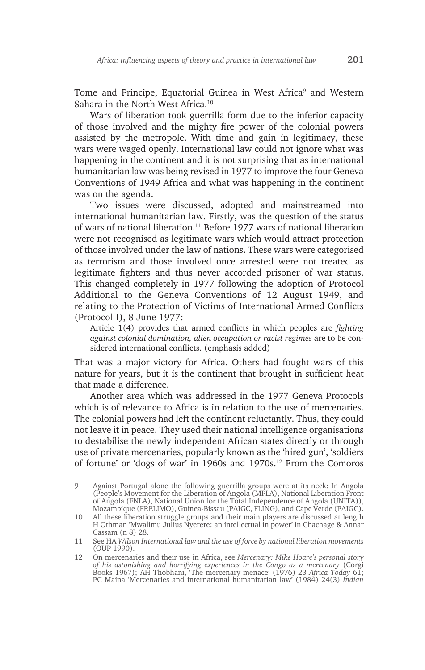Tome and Principe, Equatorial Guinea in West Africa<sup>9</sup> and Western Sahara in the North West Africa.10

Wars of liberation took guerrilla form due to the inferior capacity of those involved and the mighty fire power of the colonial powers assisted by the metropole. With time and gain in legitimacy, these wars were waged openly. International law could not ignore what was happening in the continent and it is not surprising that as international humanitarian law was being revised in 1977 to improve the four Geneva Conventions of 1949 Africa and what was happening in the continent was on the agenda.

Two issues were discussed, adopted and mainstreamed into international humanitarian law. Firstly, was the question of the status of wars of national liberation.<sup>11</sup> Before 1977 wars of national liberation were not recognised as legitimate wars which would attract protection of those involved under the law of nations. These wars were categorised as terrorism and those involved once arrested were not treated as legitimate fighters and thus never accorded prisoner of war status. This changed completely in 1977 following the adoption of Protocol Additional to the Geneva Conventions of 12 August 1949, and relating to the Protection of Victims of International Armed Conflicts (Protocol I), 8 June 1977:

Article 1(4) provides that armed conflicts in which peoples are *fighting against colonial domination, alien occupation or racist regimes* are to be considered international conflicts. (emphasis added)

That was a major victory for Africa. Others had fought wars of this nature for years, but it is the continent that brought in sufficient heat that made a difference.

Another area which was addressed in the 1977 Geneva Protocols which is of relevance to Africa is in relation to the use of mercenaries. The colonial powers had left the continent reluctantly. Thus, they could not leave it in peace. They used their national intelligence organisations to destabilise the newly independent African states directly or through use of private mercenaries, popularly known as the 'hired gun', 'soldiers of fortune' or 'dogs of war' in 1960s and 1970s.12 From the Comoros

<sup>9</sup> Against Portugal alone the following guerrilla groups were at its neck: In Angola (People's Movement for the Liberation of Angola (MPLA), National Liberation Front of Angola (FNLA), National Union for the Total Independence of Angola (UNITA)), Mozambique (FRELIMO), Guinea-Bissau (PAIGC, FLING), and Cape Verde (PAIGC).

<sup>10</sup> All these liberation struggle groups and their main players are discussed at length H Othman 'Mwalimu Julius Nyerere: an intellectual in power' in Chachage & Annar Cassam (n 8) 28.

<sup>11</sup> See HA *Wilson International law and the use of force by national liberation movements*  (OUP 1990).

<sup>12</sup> On mercenaries and their use in Africa, see *Mercenary: Mike Hoare's personal story of his astonishing and horrifying experiences in the Congo as a mercenary* (Corgi Books 1967); AH Thobhani, 'The mercenary menace' (1976) 23 *Africa Today* 61; PC Maina 'Mercenaries and international humanitarian law' (1984) 24(3) *Indian*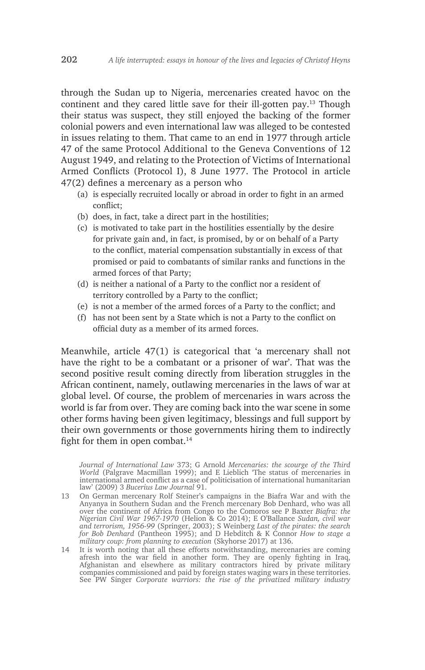through the Sudan up to Nigeria, mercenaries created havoc on the continent and they cared little save for their ill-gotten pay.13 Though their status was suspect, they still enjoyed the backing of the former colonial powers and even international law was alleged to be contested in issues relating to them. That came to an end in 1977 through article 47 of the same Protocol Additional to the Geneva Conventions of 12 August 1949, and relating to the Protection of Victims of International Armed Conflicts (Protocol I), 8 June 1977. The Protocol in article 47(2) defines a mercenary as a person who

- (a) is especially recruited locally or abroad in order to fight in an armed conflict;
- (b) does, in fact, take a direct part in the hostilities;
- (c) is motivated to take part in the hostilities essentially by the desire for private gain and, in fact, is promised, by or on behalf of a Party to the conflict, material compensation substantially in excess of that promised or paid to combatants of similar ranks and functions in the armed forces of that Party;
- (d) is neither a national of a Party to the conflict nor a resident of territory controlled by a Party to the conflict;
- (e) is not a member of the armed forces of a Party to the conflict; and
- (f) has not been sent by a State which is not a Party to the conflict on official duty as a member of its armed forces.

Meanwhile, article 47(1) is categorical that 'a mercenary shall not have the right to be a combatant or a prisoner of war'. That was the second positive result coming directly from liberation struggles in the African continent, namely, outlawing mercenaries in the laws of war at global level. Of course, the problem of mercenaries in wars across the world is far from over. They are coming back into the war scene in some other forms having been given legitimacy, blessings and full support by their own governments or those governments hiring them to indirectly fight for them in open combat.<sup>14</sup>

14 It is worth noting that all these efforts notwithstanding, mercenaries are coming afresh into the war field in another form. They are openly fighting in Iraq, Afghanistan and elsewhere as military contractors hired by private military companies commissioned and paid by foreign states waging wars in these territories. See PW Singer *Corporate warriors: the rise of the privatized military industry*

*Journal of International Law* 373; G Arnold *Mercenaries: the scourge of the Third World* (Palgrave Macmillan 1999); and E Lieblich 'The status of mercenaries in international armed conflict as a case of politicisation of international humanitarian law' (2009) 3 *Bucerius Law Journal* 91.

<sup>13</sup> On German mercenary Rolf Steiner's campaigns in the Biafra War and with the Anyanya in Southern Sudan and the French mercenary Bob Denhard, who was all over the continent of Africa from Congo to the Comoros see P Baxter *Biafra: the Nigerian Civil War 1967-1970* (Helion & Co 2014); E O'Ballance *Sudan, civil war and terrorism, 1956-99* (Springer, 2003); S Weinberg *Last of the pirates: the search for Bob Denhard* (Pantheon 1995); and D Hebditch & K Connor *How to stage a military coup: from planning to execution* (Skyhorse 2017) at 136.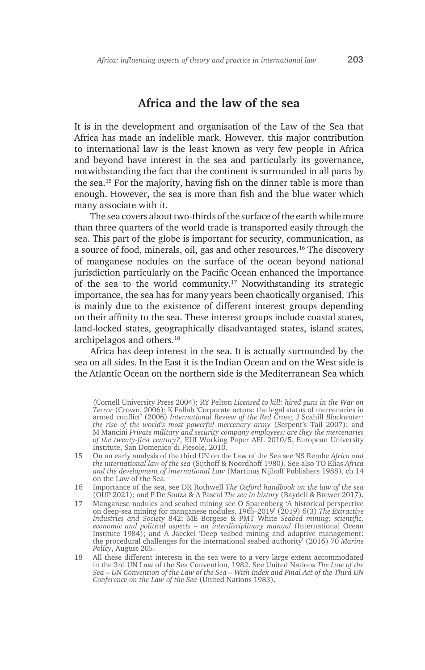#### **Africa and the law of the sea**

It is in the development and organisation of the Law of the Sea that Africa has made an indelible mark. However, this major contribution to international law is the least known as very few people in Africa and beyond have interest in the sea and particularly its governance, notwithstanding the fact that the continent is surrounded in all parts by the sea.15 For the majority, having fish on the dinner table is more than enough. However, the sea is more than fish and the blue water which many associate with it.

The sea covers about two-thirds of the surface of the earth while more than three quarters of the world trade is transported easily through the sea. This part of the globe is important for security, communication, as a source of food, minerals, oil, gas and other resources.16 The discovery of manganese nodules on the surface of the ocean beyond national jurisdiction particularly on the Pacific Ocean enhanced the importance of the sea to the world community.<sup>17</sup> Notwithstanding its strategic importance, the sea has for many years been chaotically organised. This is mainly due to the existence of different interest groups depending on their affinity to the sea. These interest groups include coastal states, land-locked states, geographically disadvantaged states, island states, archipelagos and others.18

Africa has deep interest in the sea. It is actually surrounded by the sea on all sides. In the East it is the Indian Ocean and on the West side is the Atlantic Ocean on the northern side is the Mediterranean Sea which

- 15 On an early analysis of the third UN on the Law of the Sea see NS Rembe *Africa and the international law of the sea* (Sijthoff & Noordhoff 1980). See also TO Elias *Africa and the development of international Law* (Martinus Nijhoff Publishers 1988), ch 14 on the Law of the Sea.
- 16 Importance of the sea, see DR Rothwell *The Oxford handbook on the law of the sea* (OUP 2021); and P De Souza & A Pascal *The sea in history* (Baydell & Brewer 2017).
- 17 Manganese nodules and seabed mining see O Sparenberg 'A historical perspective on deep-sea mining for manganese nodules, 1965-2019' (2019) 6(3) *The Extractive Industries and Society* 842; ME Borgese & PMT White *Seabed mining: scientific, economic and political aspects – an interdisciplinary manual* (International Ocean Institute 1984); and A Jaeckel 'Deep seabed mining and adaptive management: the procedural challenges for the international seabed authority' (2016) 70 *Marine Policy*, August 205.
- 18 All these different interests in the sea were to a very large extent accommodated in the 3rd UN Law of the Sea Convention, 1982. See United Nations *The Law of the Sea – UN Convention of the Law of the Sea – With Index and Final Act of the Third UN Conference on the Law of the Sea* (United Nations 1983).

<sup>(</sup>Cornell University Press 2004); RY Pelton *Licensed to kill: hired guns in the War on Terror* (Crown, 2006); K Fallah 'Corporate actors: the legal status of mercenaries in armed conflict' (2006) *International Review of the Red Cross*; J Scahill *Blackwater: the rise of the world's most powerful mercenary army* (Serpent's Tail 2007); and M Mancini *Private military and security company employees: are they the mercenaries of the twenty-first century?*, EUI Working Paper AEL 2010/5, European University Institute, San Domenico di Fiesole, 2010.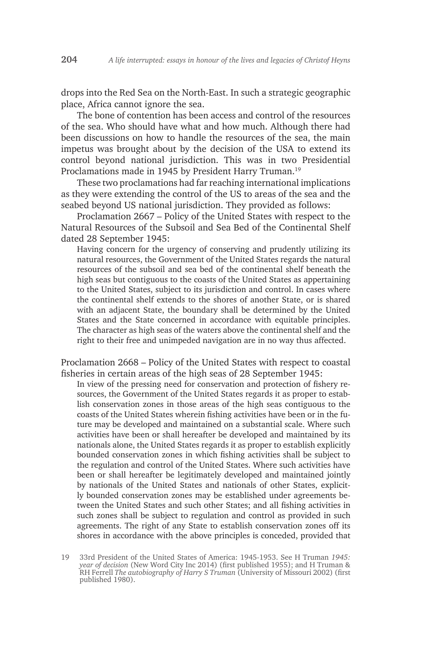drops into the Red Sea on the North-East. In such a strategic geographic place, Africa cannot ignore the sea.

The bone of contention has been access and control of the resources of the sea. Who should have what and how much. Although there had been discussions on how to handle the resources of the sea, the main impetus was brought about by the decision of the USA to extend its control beyond national jurisdiction. This was in two Presidential Proclamations made in 1945 by President Harry Truman.<sup>19</sup>

These two proclamations had far reaching international implications as they were extending the control of the US to areas of the sea and the seabed beyond US national jurisdiction. They provided as follows:

Proclamation 2667 – Policy of the United States with respect to the Natural Resources of the Subsoil and Sea Bed of the Continental Shelf dated 28 September 1945:

Having concern for the urgency of conserving and prudently utilizing its natural resources, the Government of the United States regards the natural resources of the subsoil and sea bed of the continental shelf beneath the high seas but contiguous to the coasts of the United States as appertaining to the United States, subject to its jurisdiction and control. In cases where the continental shelf extends to the shores of another State, or is shared with an adjacent State, the boundary shall be determined by the United States and the State concerned in accordance with equitable principles. The character as high seas of the waters above the continental shelf and the right to their free and unimpeded navigation are in no way thus affected.

Proclamation 2668 – Policy of the United States with respect to coastal fisheries in certain areas of the high seas of 28 September 1945:

In view of the pressing need for conservation and protection of fishery resources, the Government of the United States regards it as proper to establish conservation zones in those areas of the high seas contiguous to the coasts of the United States wherein fishing activities have been or in the future may be developed and maintained on a substantial scale. Where such activities have been or shall hereafter be developed and maintained by its nationals alone, the United States regards it as proper to establish explicitly bounded conservation zones in which fishing activities shall be subject to the regulation and control of the United States. Where such activities have been or shall hereafter be legitimately developed and maintained jointly by nationals of the United States and nationals of other States, explicitly bounded conservation zones may be established under agreements between the United States and such other States; and all fishing activities in such zones shall be subject to regulation and control as provided in such agreements. The right of any State to establish conservation zones off its shores in accordance with the above principles is conceded, provided that

<sup>19</sup> 33rd President of the United States of America: 1945-1953. See H Truman *1945: year of decision* (New Word City Inc 2014) (first published 1955); and H Truman & RH Ferrell *The autobiography of Harry S Truman* (University of Missouri 2002) (first published 1980).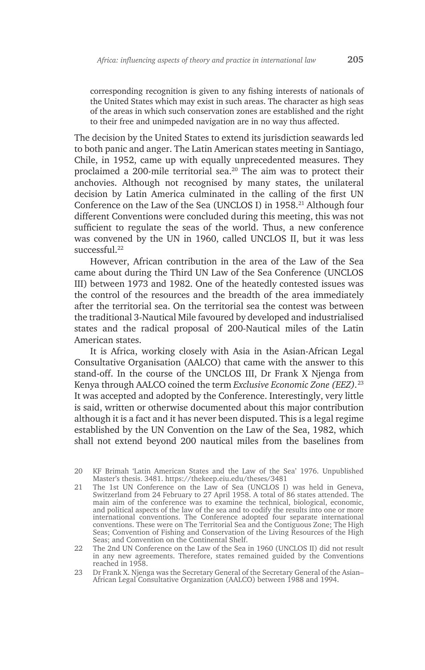corresponding recognition is given to any fishing interests of nationals of the United States which may exist in such areas. The character as high seas of the areas in which such conservation zones are established and the right to their free and unimpeded navigation are in no way thus affected.

The decision by the United States to extend its jurisdiction seawards led to both panic and anger. The Latin American states meeting in Santiago, Chile, in 1952, came up with equally unprecedented measures. They proclaimed a 200-mile territorial sea.20 The aim was to protect their anchovies. Although not recognised by many states, the unilateral decision by Latin America culminated in the calling of the first UN Conference on the Law of the Sea (UNCLOS I) in 1958.<sup>21</sup> Although four different Conventions were concluded during this meeting, this was not sufficient to regulate the seas of the world. Thus, a new conference was convened by the UN in 1960, called UNCLOS II, but it was less successful.<sup>22</sup>

However, African contribution in the area of the Law of the Sea came about during the Third UN Law of the Sea Conference (UNCLOS III) between 1973 and 1982. One of the heatedly contested issues was the control of the resources and the breadth of the area immediately after the territorial sea. On the territorial sea the contest was between the traditional 3-Nautical Mile favoured by developed and industrialised states and the radical proposal of 200-Nautical miles of the Latin American states.

It is Africa, working closely with Asia in the Asian-African Legal Consultative Organisation (AALCO) that came with the answer to this stand-off. In the course of the UNCLOS III, Dr Frank X Njenga from Kenya through AALCO coined the term *Exclusive Economic Zone (EEZ).*<sup>23</sup> It was accepted and adopted by the Conference. Interestingly, very little is said, written or otherwise documented about this major contribution although it is a fact and it has never been disputed. This is a legal regime established by the UN Convention on the Law of the Sea, 1982, which shall not extend beyond 200 nautical miles from the baselines from

<sup>20</sup> KF Brimah 'Latin American States and the Law of the Sea' 1976. Unpublished Master's thesis. 3481. https://thekeep.eiu.edu/theses/3481

<sup>21</sup> The 1st UN Conference on the Law of Sea (UNCLOS I) was held in Geneva, Switzerland from 24 February to 27 April 1958. A total of 86 states attended. The main aim of the conference was to examine the technical, biological, economic, and political aspects of the law of the sea and to codify the results into one or more international conventions. The Conference adopted four separate international conventions. These were on The Territorial Sea and the Contiguous Zone; The High Seas; Convention of Fishing and Conservation of the Living Resources of the High Seas; and Convention on the Continental Shelf.

<sup>22</sup> The 2nd UN Conference on the Law of the Sea in 1960 (UNCLOS II) did not result in any new agreements. Therefore, states remained guided by the Conventions reached in 1958.

<sup>23</sup> Dr Frank X. Njenga was the Secretary General of the Secretary General of the Asian– African Legal Consultative Organization (AALCO) between 1988 and 1994.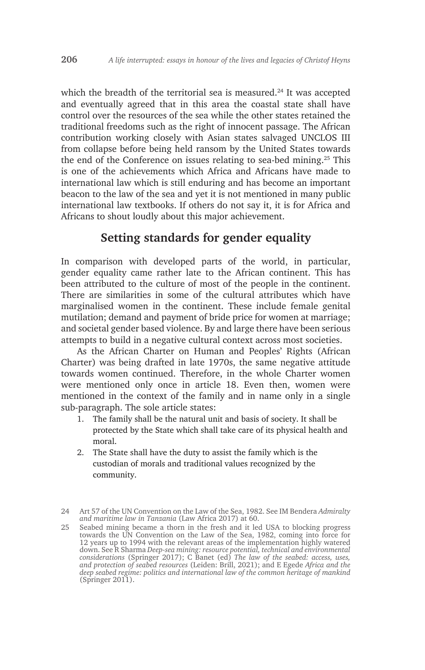which the breadth of the territorial sea is measured. $24$  It was accepted and eventually agreed that in this area the coastal state shall have control over the resources of the sea while the other states retained the traditional freedoms such as the right of innocent passage. The African contribution working closely with Asian states salvaged UNCLOS III from collapse before being held ransom by the United States towards the end of the Conference on issues relating to sea-bed mining.25 This is one of the achievements which Africa and Africans have made to international law which is still enduring and has become an important beacon to the law of the sea and yet it is not mentioned in many public international law textbooks. If others do not say it, it is for Africa and Africans to shout loudly about this major achievement.

# **Setting standards for gender equality**

In comparison with developed parts of the world, in particular, gender equality came rather late to the African continent. This has been attributed to the culture of most of the people in the continent. There are similarities in some of the cultural attributes which have marginalised women in the continent. These include female genital mutilation; demand and payment of bride price for women at marriage; and societal gender based violence. By and large there have been serious attempts to build in a negative cultural context across most societies.

As the African Charter on Human and Peoples' Rights (African Charter) was being drafted in late 1970s, the same negative attitude towards women continued. Therefore, in the whole Charter women were mentioned only once in article 18. Even then, women were mentioned in the context of the family and in name only in a single sub-paragraph. The sole article states:

- 1. The family shall be the natural unit and basis of society. It shall be protected by the State which shall take care of its physical health and moral.
- 2. The State shall have the duty to assist the family which is the custodian of morals and traditional values recognized by the community.

25 Seabed mining became a thorn in the fresh and it led USA to blocking progress towards the UN Convention on the Law of the Sea, 1982, coming into force for 12 years up to 1994 with the relevant areas of the implementation highly watered down. See R Sharma *Deep-sea mining: resource potential, technical and environmental considerations* (Springer 2017); C Banet (ed) *The law of the seabed: access, uses, and protection of seabed resources* (Leiden: Brill, 2021); and E Egede *Africa and the deep seabed regime: politics and international law of the common heritage of mankind* (Springer 2011).

<sup>24</sup> Art 57 of the UN Convention on the Law of the Sea, 1982. See IM Bendera *Admiralty and maritime law in Tanzania* (Law Africa 2017) at 60.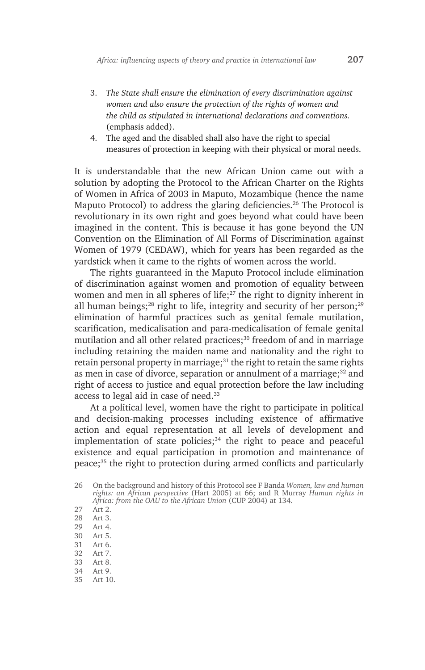- 3. *The State shall ensure the elimination of every discrimination against women and also ensure the protection of the rights of women and the child as stipulated in international declarations and conventions.*  (emphasis added).
- 4. The aged and the disabled shall also have the right to special measures of protection in keeping with their physical or moral needs.

It is understandable that the new African Union came out with a solution by adopting the Protocol to the African Charter on the Rights of Women in Africa of 2003 in Maputo, Mozambique (hence the name Maputo Protocol) to address the glaring deficiencies.<sup>26</sup> The Protocol is revolutionary in its own right and goes beyond what could have been imagined in the content. This is because it has gone beyond the UN Convention on the Elimination of All Forms of Discrimination against Women of 1979 (CEDAW), which for years has been regarded as the yardstick when it came to the rights of women across the world.

The rights guaranteed in the Maputo Protocol include elimination of discrimination against women and promotion of equality between women and men in all spheres of life;<sup>27</sup> the right to dignity inherent in all human beings;<sup>28</sup> right to life, integrity and security of her person;<sup>29</sup> elimination of harmful practices such as genital female mutilation, scarification, medicalisation and para-medicalisation of female genital mutilation and all other related practices;<sup>30</sup> freedom of and in marriage including retaining the maiden name and nationality and the right to retain personal property in marriage;<sup>31</sup> the right to retain the same rights as men in case of divorce, separation or annulment of a marriage; $32$  and right of access to justice and equal protection before the law including access to legal aid in case of need.33

At a political level, women have the right to participate in political and decision-making processes including existence of affirmative action and equal representation at all levels of development and implementation of state policies; $34$  the right to peace and peaceful existence and equal participation in promotion and maintenance of peace;35 the right to protection during armed conflicts and particularly

- 30 Art 5.
- 31 Art 6.<br>32 Art 7.
- Art 7.
- 33 Art 8.
- 34 Art 9.
- 35 Art 10.

<sup>26</sup> On the background and history of this Protocol see F Banda *Women, law and human rights: an African perspective* (Hart 2005) at 66; and R Murray *Human rights in Africa: from the OAU to the African Union* (CUP 2004) at 134.

<sup>27</sup> Art 2.

<sup>28</sup> Art 3.

<sup>29</sup> Art 4.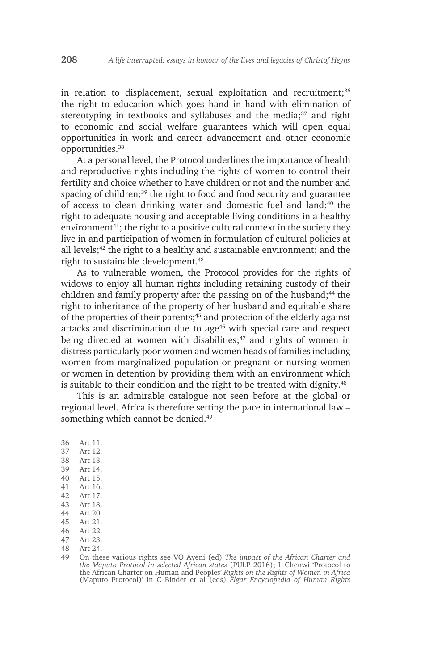in relation to displacement, sexual exploitation and recruitment;<sup>36</sup> the right to education which goes hand in hand with elimination of stereotyping in textbooks and syllabuses and the media;<sup>37</sup> and right to economic and social welfare guarantees which will open equal opportunities in work and career advancement and other economic opportunities.38

At a personal level, the Protocol underlines the importance of health and reproductive rights including the rights of women to control their fertility and choice whether to have children or not and the number and spacing of children;<sup>39</sup> the right to food and food security and guarantee of access to clean drinking water and domestic fuel and land;<sup>40</sup> the right to adequate housing and acceptable living conditions in a healthy environment<sup>41</sup>; the right to a positive cultural context in the society they live in and participation of women in formulation of cultural policies at all levels;<sup>42</sup> the right to a healthy and sustainable environment; and the right to sustainable development.<sup>43</sup>

As to vulnerable women, the Protocol provides for the rights of widows to enjoy all human rights including retaining custody of their children and family property after the passing on of the husband; $44$  the right to inheritance of the property of her husband and equitable share of the properties of their parents;<sup>45</sup> and protection of the elderly against attacks and discrimination due to age<sup>46</sup> with special care and respect being directed at women with disabilities; $47$  and rights of women in distress particularly poor women and women heads of families including women from marginalized population or pregnant or nursing women or women in detention by providing them with an environment which is suitable to their condition and the right to be treated with dignity. $48$ 

This is an admirable catalogue not seen before at the global or regional level. Africa is therefore setting the pace in international law – something which cannot be denied.<sup>49</sup>

- 36 Art 11.
- 37 Art 12. 38 Art 13.
- 
- 39 Art 14. Art 15.
- 41 Art 16.
- 42 Art 17.
- 
- 43 Art 18.<br>44 Art 20.
- 44 Art 20.<br>45 Art 21. Art 21.
- 46 Art 22.<br>47 Art 23.
- Art 23.
- 48 Art 24.
- 49 On these various rights see VO Ayeni (ed) *The impact of the African Charter and the Maputo Protocol in selected African states* (PULP 2016); L Chenwi 'Protocol to the African Charter on Human and Peoples' *Rights on the Rights of Women in Africa* (Maputo Protocol)' in C Binder et al (eds) *Elgar Encyclopedia of Human Rights*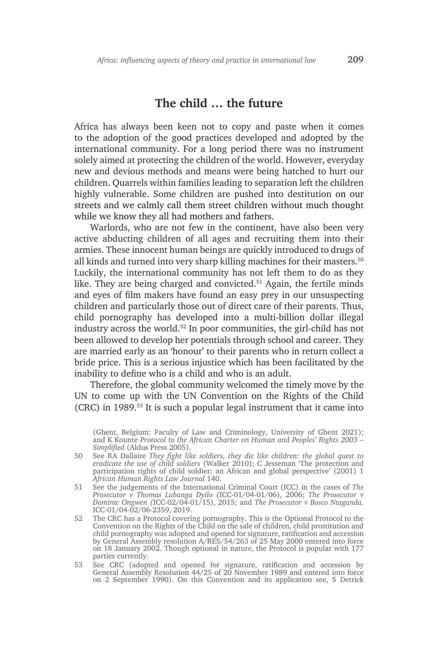### **The child … the future**

Africa has always been keen not to copy and paste when it comes to the adoption of the good practices developed and adopted by the international community. For a long period there was no instrument solely aimed at protecting the children of the world. However, everyday new and devious methods and means were being hatched to hurt our children. Quarrels within families leading to separation left the children highly vulnerable. Some children are pushed into destitution on our streets and we calmly call them street children without much thought while we know they all had mothers and fathers.

Warlords, who are not few in the continent, have also been very active abducting children of all ages and recruiting them into their armies. These innocent human beings are quickly introduced to drugs of all kinds and turned into very sharp killing machines for their masters.<sup>50</sup> Luckily, the international community has not left them to do as they like. They are being charged and convicted.<sup>51</sup> Again, the fertile minds and eyes of film makers have found an easy prey in our unsuspecting children and particularly those out of direct care of their parents. Thus, child pornography has developed into a multi-billion dollar illegal industry across the world.52 In poor communities, the girl-child has not been allowed to develop her potentials through school and career. They are married early as an 'honour' to their parents who in return collect a bride price. This is a serious injustice which has been facilitated by the inability to define who is a child and who is an adult.

Therefore, the global community welcomed the timely move by the UN to come up with the UN Convention on the Rights of the Child (CRC) in 1989.53 It is such a popular legal instrument that it came into

(Ghent, Belgium: Faculty of Law and Criminology, University of Ghent 2021); and K Kounte *Protocol to the African Charter on Human and Peoples' Rights 2003 – Simplified* (Aldus Press 2005).

- 50 See RA Dallaire *They fight like soldiers, they die like children: the global quest to eradicate the use of child soldiers* (Walker 2010); C Jesseman 'The protection and participation rights of child soldier: an African and global perspective' (2001) 1 *African Human Rights Law Journal* 140.
- 51 See the judgements of the International Criminal Court (ICC) in the cases of *The Prosecutor v Thomas Lubanga Dyilo (*ICC-01/04-01/06), 2006; *The Prosecutor v Dominic Ongwen (*ICC-02/04-01/15), 2015; and *The Prosecutor v Bosco Ntaganda,*  ICC-01/04-02/06-2359, 2019.
- 52 The CRC has a Protocol covering pornography. This is the Optional Protocol to the Convention on the Rights of the Child on the sale of children, child prostitution and child pornography was adopted and opened for signature, ratification and accession by General Assembly resolution A/RES/54/263 of 25 May 2000 entered into force on 18 January 2002. Though optional in nature, the Protocol is popular with 177 parties currently.
- 53 See CRC (adopted and opened for signature, ratification and accession by General Assembly Resolution 44/25 of 20 November 1989 and entered into force on 2 September 1990). On this Convention and its application see, S Detrick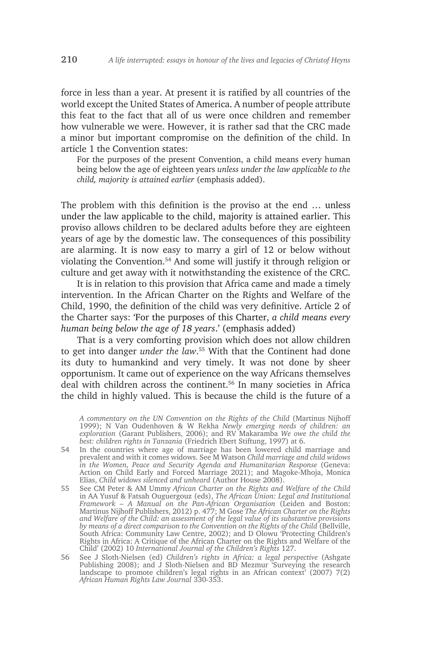force in less than a year. At present it is ratified by all countries of the world except the United States of America. A number of people attribute this feat to the fact that all of us were once children and remember how vulnerable we were. However, it is rather sad that the CRC made a minor but important compromise on the definition of the child. In article 1 the Convention states:

For the purposes of the present Convention, a child means every human being below the age of eighteen years *unless under the law applicable to the child, majority is attained earlier* (emphasis added).

The problem with this definition is the proviso at the end … unless under the law applicable to the child, majority is attained earlier. This proviso allows children to be declared adults before they are eighteen years of age by the domestic law. The consequences of this possibility are alarming. It is now easy to marry a girl of 12 or below without violating the Convention.54 And some will justify it through religion or culture and get away with it notwithstanding the existence of the CRC.

It is in relation to this provision that Africa came and made a timely intervention. In the African Charter on the Rights and Welfare of the Child, 1990, the definition of the child was very definitive. Article 2 of the Charter says: 'For the purposes of this Charter, *a child means every human being below the age of 18 years*.' (emphasis added)

That is a very comforting provision which does not allow children to get into danger *under the law*. <sup>55</sup> With that the Continent had done its duty to humankind and very timely. It was not done by sheer opportunism. It came out of experience on the way Africans themselves deal with children across the continent.<sup>56</sup> In many societies in Africa the child in highly valued. This is because the child is the future of a

*A commentary on the UN Convention on the Rights of the Child* (Martinus Nijhoff 1999); N Van Oudenhoven & W Rekha *Newly emerging needs of children: an exploration* (Garant Publishers, 2006); and RV Makaramba *We owe the child the best: children rights in Tanzania* (Friedrich Ebert Stiftung, 1997) at 6.

- 54 In the countries where age of marriage has been lowered child marriage and prevalent and with it comes widows. See M Watson *Child marriage and child widows in the Women, Peace and Security Agenda and Humanitarian Response* (Geneva: Action on Child Early and Forced Marriage 2021); and Magoke-Mhoja, Monica Elias, *Child widows silenced and unheard* (Author House 2008).
- 55 See CM Peter & AM Ummy *African Charter on the Rights and Welfare of the Child* in AA Yusuf & Fatsah Ouguergouz (eds), *The African Union: Legal and Institutional Framework – A Manual on the Pan-African Organisation* (Leiden and Boston: Martinus Nijhoff Publishers, 2012) p. 477; M Gose *The African Charter on the Rights and Welfare of the Child: an assessment of the legal value of its substantive provisions by means of a direct comparison to the Convention on the Rights of the Child* (Bellville, South Africa: Community Law Centre, 2002); and D Olowu 'Protecting Children's Rights in Africa: A Critique of the African Charter on the Rights and Welfare of the Child' (2002) 10 *International Journal of the Children's Rights* 127.
- 56 See J Sloth-Nielsen (ed) *Children's rights in Africa: a legal perspective* (Ashgate Publishing 2008); and J Sloth-Nielsen and BD Mezmur 'Surveying the research landscape to promote children's legal rights in an African context' (2007) 7(2) *African Human Rights Law Journal* 330-353.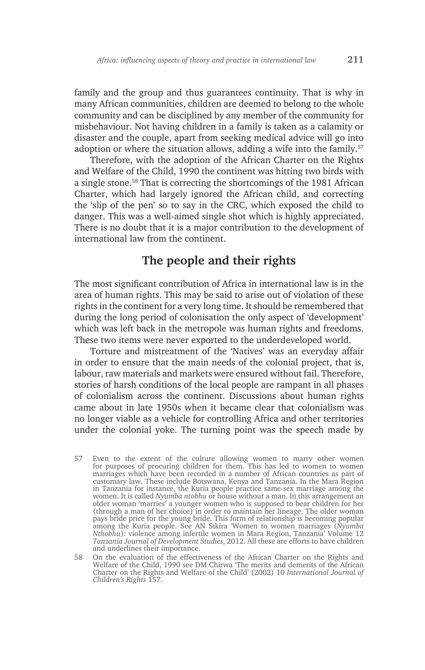family and the group and thus guarantees continuity. That is why in many African communities, children are deemed to belong to the whole community and can be disciplined by any member of the community for misbehaviour. Not having children in a family is taken as a calamity or disaster and the couple, apart from seeking medical advice will go into adoption or where the situation allows, adding a wife into the family.<sup>57</sup>

Therefore, with the adoption of the African Charter on the Rights and Welfare of the Child, 1990 the continent was hitting two birds with a single stone.58 That is correcting the shortcomings of the 1981 African Charter, which had largely ignored the African child, and correcting the 'slip of the pen' so to say in the CRC, which exposed the child to danger. This was a well-aimed single shot which is highly appreciated. There is no doubt that it is a major contribution to the development of international law from the continent.

# **The people and their rights**

The most significant contribution of Africa in international law is in the area of human rights. This may be said to arise out of violation of these rights in the continent for a very long time. It should be remembered that during the long period of colonisation the only aspect of 'development' which was left back in the metropole was human rights and freedoms. These two items were never exported to the underdeveloped world.

Torture and mistreatment of the 'Natives' was an everyday affair in order to ensure that the main needs of the colonial project, that is, labour, raw materials and markets were ensured without fail. Therefore, stories of harsh conditions of the local people are rampant in all phases of colonialism across the continent. Discussions about human rights came about in late 1950s when it became clear that colonialism was no longer viable as a vehicle for controlling Africa and other territories under the colonial yoke. The turning point was the speech made by

<sup>57</sup> Even to the extent of the culture allowing women to marry other women for purposes of procuring children for them. This has led to women to women marriages which have been recorded in a number of African countries as part of customary law. These include Botswana, Kenya and Tanzania. In the Mara Region in Tanzania for instance, the Kuria people practice same-sex marriage among the women. It is called *Nyumba ntobhu* or house without a man. In this arrangement an older woman 'marries' a younger women who is supposed to bear children for her (through a man of her choice) in order to maintain her lineage. The older woman pays bride price for the young bride. This form of relationship is becoming popular among the Kuria people. See AN Sikira 'Women to women marriages (*Nyumba Nthobhu*): violence among infertile women in Mara Region, Tanzania' Volume 12 *Tanzania Journal of Development Studies*, 2012. All these are efforts to have children and underlines their importance.

<sup>58</sup> On the evaluation of the effectiveness of the African Charter on the Rights and Welfare of the Child, 1990 see DM Chirwa 'The merits and demerits of the African Charter on the Rights and Welfare of the Child' (2002) 10 *International Journal of Children's Rights* 157.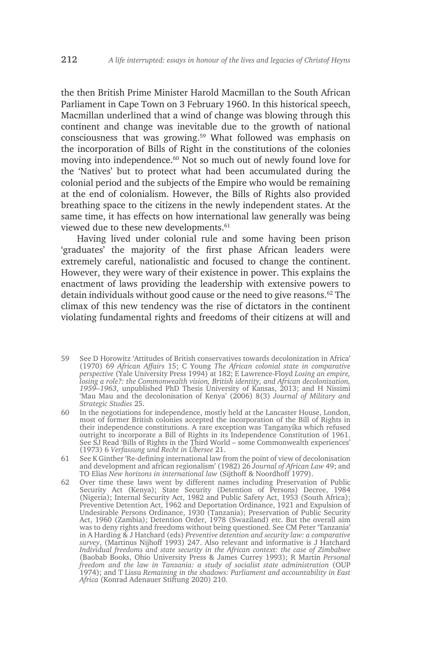the then British Prime Minister Harold Macmillan to the South African Parliament in Cape Town on 3 February 1960. In this historical speech, Macmillan underlined that a wind of change was blowing through this continent and change was inevitable due to the growth of national consciousness that was growing.<sup>59</sup> What followed was emphasis on the incorporation of Bills of Right in the constitutions of the colonies moving into independence.<sup>60</sup> Not so much out of newly found love for the 'Natives' but to protect what had been accumulated during the colonial period and the subjects of the Empire who would be remaining at the end of colonialism. However, the Bills of Rights also provided breathing space to the citizens in the newly independent states. At the same time, it has effects on how international law generally was being viewed due to these new developments.<sup>61</sup>

Having lived under colonial rule and some having been prison 'graduates' the majority of the first phase African leaders were extremely careful, nationalistic and focused to change the continent. However, they were wary of their existence in power. This explains the enactment of laws providing the leadership with extensive powers to detain individuals without good cause or the need to give reasons.<sup>62</sup> The climax of this new tendency was the rise of dictators in the continent violating fundamental rights and freedoms of their citizens at will and

- 59 See D Horowitz 'Attitudes of British conservatives towards decolonization in Africa' (1970) 69 *African Affairs* 15; C Young *The African colonial state in comparative perspective* (Yale University Press 1994) at 182; E Lawrence-Floyd *Losing an empire, losing a role?: the Commonwealth vision, British identity, and African decolonization, 1959–1963*, unpublished PhD Thesis University of Kansas, 2013; and H Nissimi 'Mau Mau and the decolonisation of Kenya' (2006) 8(3) *Journal of Military and Strategic Studies* 25.
- 60 In the negotiations for independence, mostly held at the Lancaster House, London, most of former British colonies accepted the incorporation of the Bill of Rights in their independence constitutions. A rare exception was Tanganyika which refused outright to incorporate a Bill of Rights in its Independence Constitution of 1961. See SJ Read 'Bills of Rights in the Third World – some Commonwealth experiences' (1973) 6 *Verfassung und Recht in Übersee* 21.
- 61 See K Ginther 'Re-defining international law from the point of view of decolonisation and development and african regionalism' (1982) 26 *Journal of African Law* 49; and TO Elias *New horizons in international law* (Sijthoff & Noordhoff 1979).
- 62 Over time these laws went by different names including Preservation of Public Security Act (Kenya); State Security (Detention of Persons) Decree, 1984 (Nigeria); Internal Security Act, 1982 and Public Safety Act, 1953 (South Africa); Preventive Detention Act, 1962 and Deportation Ordinance, 1921 and Expulsion of Undesirable Persons Ordinance, 1930 (Tanzania); Preservation of Public Security Act, 1960 (Zambia); Detention Order, 1978 (Swaziland) etc. But the overall aim was to deny rights and freedoms without being questioned. See CM Peter 'Tanzania' in A Harding & J Hatchard (eds) *Preventive detention and security law: a comparative survey*, (Martinus Nijhoff 1993) 247. Also relevant and informative is J Hatchard *Individual freedoms and state security in the African context: the case of Zimbabwe* (Baobab Books, Ohio University Press & James Currey 1993); R Martin *Personal freedom and the law in Tanzania: a study of socialist state administration* (OUP 1974); and T Lissu *Remaining in the shadows: Parliament and accountability in East Africa* (Konrad Adenauer Stiftung 2020) 210.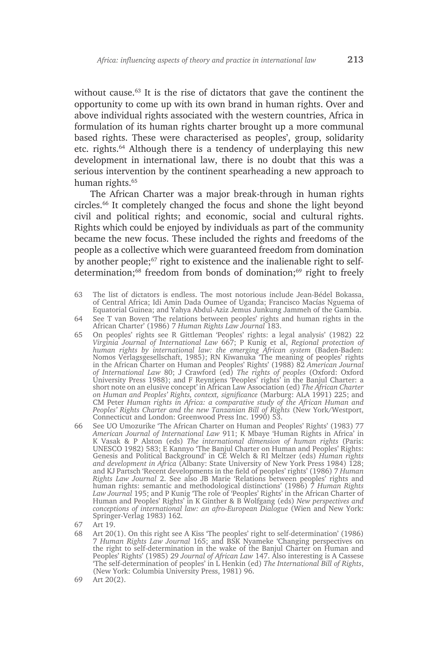without cause.<sup>63</sup> It is the rise of dictators that gave the continent the opportunity to come up with its own brand in human rights. Over and above individual rights associated with the western countries, Africa in formulation of its human rights charter brought up a more communal based rights. These were characterised as peoples', group, solidarity etc. rights.64 Although there is a tendency of underplaying this new development in international law, there is no doubt that this was a serious intervention by the continent spearheading a new approach to human rights.<sup>65</sup>

The African Charter was a major break-through in human rights circles.66 It completely changed the focus and shone the light beyond civil and political rights; and economic, social and cultural rights. Rights which could be enjoyed by individuals as part of the community became the new focus. These included the rights and freedoms of the people as a collective which were guaranteed freedom from domination by another people;<sup>67</sup> right to existence and the inalienable right to selfdetermination:<sup>68</sup> freedom from bonds of domination:<sup>69</sup> right to freely

- 63 The list of dictators is endless. The most notorious include Jean-Bédel Bokassa, of Central Africa; Idi Amin Dada Oumee of Uganda; Francisco Macías Nguema of Equatorial Guinea; and Yahya Abdul-Aziz Jemus Junkung Jammeh of the Gambia.
- 64 See T van Boven 'The relations between peoples' rights and human rights in the African Charter' (1986) 7 *Human Rights Law Journal* 183.
- 65 On peoples' rights see R Gittleman 'Peoples' rights: a legal analysis' (1982) 22 *Virginia Journal of International Law* 667; P Kunig et al, *Regional protection of human rights by international law: the emerging African system* (Baden-Baden: Nomos Verlagsgesellschaft, 1985); RN Kiwanuka 'The meaning of peoples' rights in the African Charter on Human and Peoples' Rights' (1988) 82 *American Journal of International Law* 80; J Crawford (ed) *The rights of peoples* (Oxford: Oxford University Press 1988); and F Reyntjens 'Peoples' rights' in the Banjul Charter: a short note on an elusive concept' in African Law Association (ed) *The African Charter on Human and Peoples' Rights, context, significance* (Marburg: ALA 1991) 225; and CM Peter *Human rights in Africa: a comparative study of the African Human and Peoples' Rights Charter and the new Tanzanian Bill of Rights* (New York/Westport, Connecticut and London: Greenwood Press Inc. 1990) 53.
- 66 See UO Umozurike 'The African Charter on Human and Peoples' Rights' (1983) 77 *American Journal of International Law* 911; K Mbaye 'Human Rights in Africa' in K Vasak & P Alston (eds) *The international dimension of human rights* (Paris: UNESCO 1982) 583; E Kannyo 'The Banjul Charter on Human and Peoples' Rights: Genesis and Political Background' in CE Welch & RI Meltzer (eds) *Human rights and development in Africa* (Albany: State University of New York Press 1984) 128; and KJ Partsch 'Recent developments in the field of peoples' rights' (1986) 7 *Human Rights Law Journal* 2. See also JB Marie 'Relations between peoples' rights and human rights: semantic and methodological distinctions' (1986) 7 *Human Rights Law Journal* 195; and P Kunig 'The role of 'Peoples' Rights' in the African Charter of Human and Peoples' Rights' in K Ginther & B Wolfgang (eds) *New perspectives and conceptions of international law: an afro-European Dialogue* (Wien and New York: Springer-Verlag 1983) 162.
- 67 Art 19.
- 68 Art 20(1). On this right see A Kiss 'The peoples' right to self-determination' (1986) 7 *Human Rights Law Journal* 165; and BSK Nyameke 'Changing perspectives on the right to self-determination in the wake of the Banjul Charter on Human and Peoples' Rights' (1985) 29 *Journal of African Law* 147. Also interesting is A Cassese 'The self-determination of peoples' in L Henkin (ed) *The International Bill of Rights*, (New York: Columbia University Press, 1981) 96.
- 69 Art 20(2).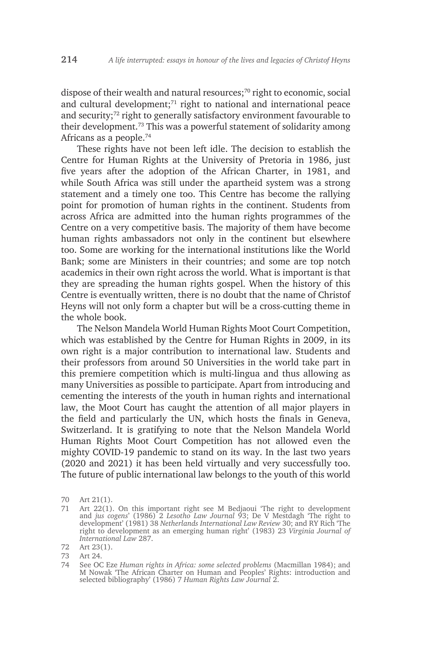dispose of their wealth and natural resources;<sup>70</sup> right to economic, social and cultural development;<sup>71</sup> right to national and international peace and security;72 right to generally satisfactory environment favourable to their development.73 This was a powerful statement of solidarity among Africans as a people.74

These rights have not been left idle. The decision to establish the Centre for Human Rights at the University of Pretoria in 1986, just five years after the adoption of the African Charter, in 1981, and while South Africa was still under the apartheid system was a strong statement and a timely one too. This Centre has become the rallying point for promotion of human rights in the continent. Students from across Africa are admitted into the human rights programmes of the Centre on a very competitive basis. The majority of them have become human rights ambassadors not only in the continent but elsewhere too. Some are working for the international institutions like the World Bank; some are Ministers in their countries; and some are top notch academics in their own right across the world. What is important is that they are spreading the human rights gospel. When the history of this Centre is eventually written, there is no doubt that the name of Christof Heyns will not only form a chapter but will be a cross-cutting theme in the whole book.

The Nelson Mandela World Human Rights Moot Court Competition, which was established by the Centre for Human Rights in 2009, in its own right is a major contribution to international law. Students and their professors from around 50 Universities in the world take part in this premiere competition which is multi-lingua and thus allowing as many Universities as possible to participate. Apart from introducing and cementing the interests of the youth in human rights and international law, the Moot Court has caught the attention of all major players in the field and particularly the UN, which hosts the finals in Geneva, Switzerland. It is gratifying to note that the Nelson Mandela World Human Rights Moot Court Competition has not allowed even the mighty COVID-19 pandemic to stand on its way. In the last two years (2020 and 2021) it has been held virtually and very successfully too. The future of public international law belongs to the youth of this world

<sup>70</sup> Art 21(1).

<sup>71</sup> Art 22(1). On this important right see M Bedjaoui 'The right to development and *jus cogens*' (1986) 2 *Lesotho Law Journal* 93; De V Mestdagh 'The right to development' (1981) 38 *Netherlands International Law Review* 30; and RY Rich 'The right to development as an emerging human right' (1983) 23 *Virginia Journal of International Law* 287.

<sup>72</sup> Art 23(1).

<sup>73</sup> Art 24.

<sup>74</sup> See OC Eze *Human rights in Africa: some selected problems* (Macmillan 1984); and M Nowak 'The African Charter on Human and Peoples' Rights: introduction and selected bibliography' (1986) 7 *Human Rights Law Journal* 2.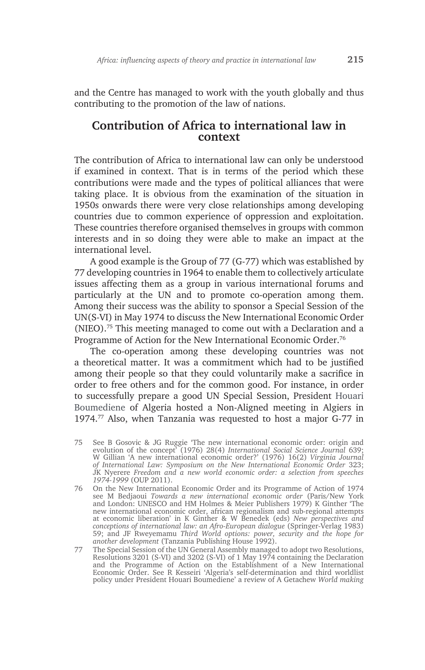and the Centre has managed to work with the youth globally and thus contributing to the promotion of the law of nations.

#### **Contribution of Africa to international law in context**

The contribution of Africa to international law can only be understood if examined in context. That is in terms of the period which these contributions were made and the types of political alliances that were taking place. It is obvious from the examination of the situation in 1950s onwards there were very close relationships among developing countries due to common experience of oppression and exploitation. These countries therefore organised themselves in groups with common interests and in so doing they were able to make an impact at the international level.

A good example is the Group of 77 (G-77) which was established by 77 developing countries in 1964 to enable them to collectively articulate issues affecting them as a group in various international forums and particularly at the UN and to promote co-operation among them. Among their success was the ability to sponsor a Special Session of the UN(S-VI) in May 1974 to discuss the New International Economic Order (NIEO).75 This meeting managed to come out with a Declaration and a Programme of Action for the New International Economic Order.<sup>76</sup>

The co-operation among these developing countries was not a theoretical matter. It was a commitment which had to be justified among their people so that they could voluntarily make a sacrifice in order to free others and for the common good. For instance, in order to successfully prepare a good UN Special Session, President Houari Boumediene of Algeria hosted a Non-Aligned meeting in Algiers in 1974.77 Also, when Tanzania was requested to host a major G-77 in

75 See B Gosovic & JG Ruggie 'The new international economic order: origin and evolution of the concept' (1976) 28(4) *International Social Science Journal* 639; W Gillian 'A new international economic order?' (1976) 16(2) *Virginia Journal of International Law: Symposium on the New International Economic Order* 323; JK Nyerere *Freedom and a new world economic order: a selection from speeches 1974-1999* (OUP 2011).

76 On the New International Economic Order and its Programme of Action of 1974 see M Bedjaoui *Towards a new international economic order* (Paris/New York and London: UNESCO and HM Holmes & Meier Publishers 1979) K Ginther 'The new international economic order, african regionalism and sub-regional attempts at economic liberation' in K Ginther & W Benedek (eds) *New perspectives and conceptions of international law: an Afro-European dialogue* (Springer-Verlag 1983) 59; and JF Rweyemamu *Third World options: power, security and the hope for another development* (Tanzania Publishing House 1992).

77 The Special Session of the UN General Assembly managed to adopt two Resolutions, Resolutions 3201 (S-VI) and 3202 (S-VI) of 1 May 1974 containing the Declaration and the Programme of Action on the Establishment of a New International Economic Order. See R Kesseiri 'Algeria's self-determination and third worldlist policy under President Houari Boumediene' a review of A Getachew *World making*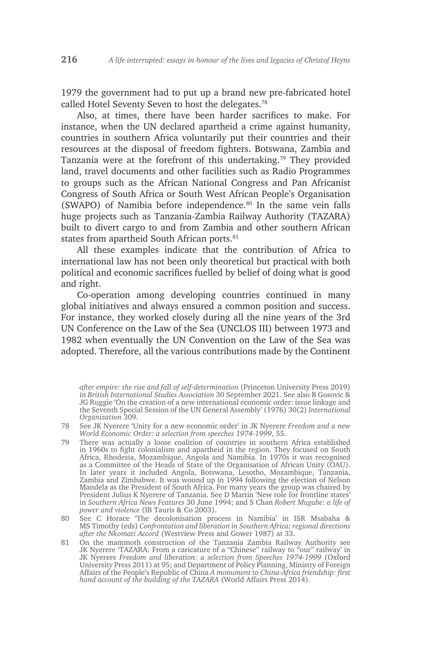1979 the government had to put up a brand new pre-fabricated hotel called Hotel Seventy Seven to host the delegates.<sup>78</sup>

Also, at times, there have been harder sacrifices to make. For instance, when the UN declared apartheid a crime against humanity, countries in southern Africa voluntarily put their countries and their resources at the disposal of freedom fighters. Botswana, Zambia and Tanzania were at the forefront of this undertaking.79 They provided land, travel documents and other facilities such as Radio Programmes to groups such as the African National Congress and Pan Africanist Congress of South Africa or South West African People's Organisation (SWAPO) of Namibia before independence.80 In the same vein falls huge projects such as Tanzania-Zambia Railway Authority (TAZARA) built to divert cargo to and from Zambia and other southern African states from apartheid South African ports.<sup>81</sup>

All these examples indicate that the contribution of Africa to international law has not been only theoretical but practical with both political and economic sacrifices fuelled by belief of doing what is good and right.

Co-operation among developing countries continued in many global initiatives and always ensured a common position and success. For instance, they worked closely during all the nine years of the 3rd UN Conference on the Law of the Sea (UNCLOS III) between 1973 and 1982 when eventually the UN Convention on the Law of the Sea was adopted. Therefore, all the various contributions made by the Continent

- 78 See JK Nyerere 'Unity for a new economic order' in JK Nyerere *Freedom and a new World Economic Order: a selection from speeches 1974-1999*, 55.
- 79 There was actually a loose coalition of countries in southern Africa established in 1960s to fight colonialism and apartheid in the region. They focused on South Africa, Rhodesia, Mozambique, Angola and Namibia. In 1970s it was recognised as a Committee of the Heads of State of the Organisation of African Unity (OAU). In later years it included Angola, Botswana, Lesotho, Mozambique, Tanzania, Zambia and Zimbabwe. It was wound up in 1994 following the election of Nelson Mandela as the President of South Africa. For many years the group was chaired by President Julius K Nyerere of Tanzania. See D Martin 'New role for frontline states' in *Southern Africa News Features* 30 June 1994; and S Chan *Robert Mugabe: a life of power and violence* (IB Tauris & Co 2003).
- 80 See C Horace 'The decolonisation process in Namibia' in ISR Msabaha & MS Timothy (eds) *Confrontation and liberation in Southern Africa: regional directions after the Nkomati Accord* (Westview Press and Gower 1987) at 33.
- 81 On the mammoth construction of the Tanzania Zambia Railway Authority see JK Nyerere 'TAZARA: From a caricature of a "Chinese" railway to "our" railway' in JK Nyerere *Freedom and liberation: a selection from Speeches 1974-1999* (Oxford University Press 2011) at 95; and Department of Policy Planning, Ministry of Foreign Affairs of the People's Republic of China *A monument to China-Africa friendship: first hand account of the building of the TAZARA* (World Affairs Press 2014).

*after empire: the rise and fall of self-determination* (Princeton University Press 2019) in *British International Studies Association* 30 September 2021. See also B Gosovic & JG Ruggie 'On the creation of a new international economic order: issue linkage and the Seventh Special Session of the UN General Assembly' (1976) 30(2) *International Organization* 309.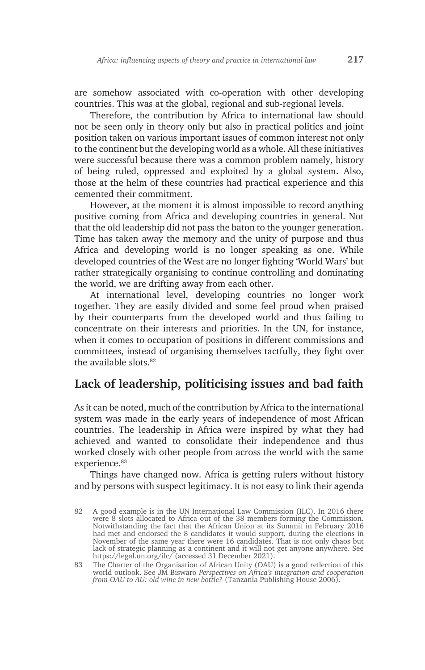are somehow associated with co-operation with other developing countries. This was at the global, regional and sub-regional levels.

Therefore, the contribution by Africa to international law should not be seen only in theory only but also in practical politics and joint position taken on various important issues of common interest not only to the continent but the developing world as a whole. All these initiatives were successful because there was a common problem namely, history of being ruled, oppressed and exploited by a global system. Also, those at the helm of these countries had practical experience and this cemented their commitment.

However, at the moment it is almost impossible to record anything positive coming from Africa and developing countries in general. Not that the old leadership did not pass the baton to the younger generation. Time has taken away the memory and the unity of purpose and thus Africa and developing world is no longer speaking as one. While developed countries of the West are no longer fighting 'World Wars' but rather strategically organising to continue controlling and dominating the world, we are drifting away from each other.

At international level, developing countries no longer work together. They are easily divided and some feel proud when praised by their counterparts from the developed world and thus failing to concentrate on their interests and priorities. In the UN, for instance, when it comes to occupation of positions in different commissions and committees, instead of organising themselves tactfully, they fight over the available slots  $82$ 

# **Lack of leadership, politicising issues and bad faith**

As it can be noted, much of the contribution by Africa to the international system was made in the early years of independence of most African countries. The leadership in Africa were inspired by what they had achieved and wanted to consolidate their independence and thus worked closely with other people from across the world with the same experience.<sup>83</sup>

Things have changed now. Africa is getting rulers without history and by persons with suspect legitimacy. It is not easy to link their agenda

<sup>82</sup> A good example is in the UN International Law Commission (ILC). In 2016 there were 8 slots allocated to Africa out of the 38 members forming the Commission. Notwithstanding the fact that the African Union at its Summit in February 2016 had met and endorsed the 8 candidates it would support, during the elections in November of the same year there were 16 candidates. That is not only chaos but lack of strategic planning as a continent and it will not get anyone anywhere. See https://legal.un.org/ilc/ (accessed 31 December 2021).

<sup>83</sup> The Charter of the Organisation of African Unity (OAU) is a good reflection of this world outlook. See JM Biswaro *Perspectives on Africa's integration and cooperation from OAU to AU: old wine in new bottle?* (Tanzania Publishing House 2006).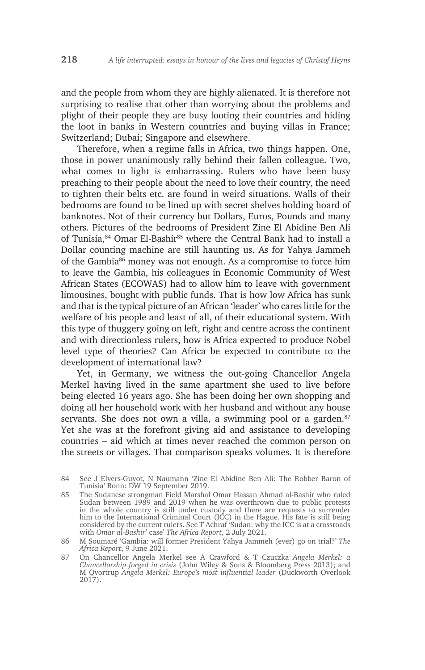and the people from whom they are highly alienated. It is therefore not surprising to realise that other than worrying about the problems and plight of their people they are busy looting their countries and hiding the loot in banks in Western countries and buying villas in France; Switzerland; Dubai; Singapore and elsewhere.

Therefore, when a regime falls in Africa, two things happen. One, those in power unanimously rally behind their fallen colleague. Two, what comes to light is embarrassing. Rulers who have been busy preaching to their people about the need to love their country, the need to tighten their belts etc. are found in weird situations. Walls of their bedrooms are found to be lined up with secret shelves holding hoard of banknotes. Not of their currency but Dollars, Euros, Pounds and many others. Pictures of the bedrooms of President Zine El Abidine Ben Ali of Tunisia,<sup>84</sup> Omar El-Bashir<sup>85</sup> where the Central Bank had to install a Dollar counting machine are still haunting us. As for Yahya Jammeh of the Gambia<sup>86</sup> money was not enough. As a compromise to force him to leave the Gambia, his colleagues in Economic Community of West African States (ECOWAS) had to allow him to leave with government limousines, bought with public funds. That is how low Africa has sunk and that is the typical picture of an African 'leader' who cares little for the welfare of his people and least of all, of their educational system. With this type of thuggery going on left, right and centre across the continent and with directionless rulers, how is Africa expected to produce Nobel level type of theories? Can Africa be expected to contribute to the development of international law?

Yet, in Germany, we witness the out-going Chancellor Angela Merkel having lived in the same apartment she used to live before being elected 16 years ago. She has been doing her own shopping and doing all her household work with her husband and without any house servants. She does not own a villa, a swimming pool or a garden. $87$ Yet she was at the forefront giving aid and assistance to developing countries – aid which at times never reached the common person on the streets or villages. That comparison speaks volumes. It is therefore

<sup>84</sup> See J Elvers-Guyot, N Naumann 'Zine El Abidine Ben Ali: The Robber Baron of Tunisia' Bonn: DW 19 September 2019.

<sup>85</sup> The Sudanese strongman Field Marshal Omar Hassan Ahmad al-Bashir who ruled Sudan between 1989 and 2019 when he was overthrown due to public protests in the whole country is still under custody and there are requests to surrender him to the International Criminal Court (ICC) in the Hague. His fate is still being considered by the current rulers. See T Achraf 'Sudan: why the ICC is at a crossroads with *Omar al-Bashir*' case' *The Africa Report*, 2 July 2021.

<sup>86</sup> M Soumaré 'Gambia: will former President Yahya Jammeh (ever) go on trial?' *The Africa Report*, 9 June 2021.

<sup>87</sup> On Chancellor Angela Merkel see A Crawford & T Czuczka *Angela Merkel: a Chancellorship forged in crisis* (John Wiley & Sons & Bloomberg Press 2013); and M Qvortrup *Angela Merkel: Europe's most influential leader* (Duckworth Overlook 2017).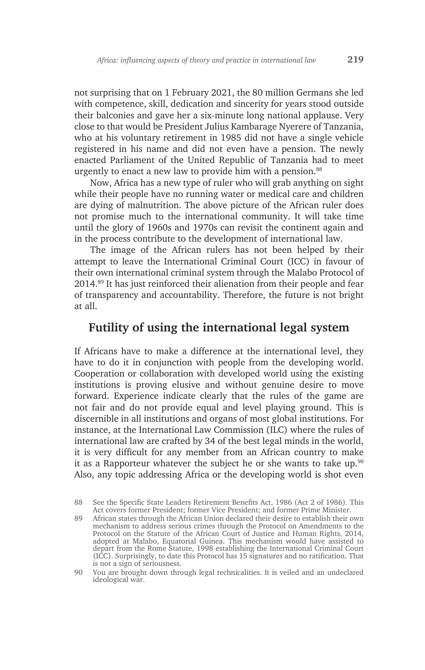not surprising that on 1 February 2021, the 80 million Germans she led with competence, skill, dedication and sincerity for years stood outside their balconies and gave her a six-minute long national applause. Very close to that would be President Julius Kambarage Nyerere of Tanzania, who at his voluntary retirement in 1985 did not have a single vehicle registered in his name and did not even have a pension. The newly enacted Parliament of the United Republic of Tanzania had to meet urgently to enact a new law to provide him with a pension.<sup>88</sup>

Now, Africa has a new type of ruler who will grab anything on sight while their people have no running water or medical care and children are dying of malnutrition. The above picture of the African ruler does not promise much to the international community. It will take time until the glory of 1960s and 1970s can revisit the continent again and in the process contribute to the development of international law.

The image of the African rulers has not been helped by their attempt to leave the International Criminal Court (ICC) in favour of their own international criminal system through the Malabo Protocol of 2014.89 It has just reinforced their alienation from their people and fear of transparency and accountability. Therefore, the future is not bright at all.

## **Futility of using the international legal system**

If Africans have to make a difference at the international level, they have to do it in conjunction with people from the developing world. Cooperation or collaboration with developed world using the existing institutions is proving elusive and without genuine desire to move forward. Experience indicate clearly that the rules of the game are not fair and do not provide equal and level playing ground. This is discernible in all institutions and organs of most global institutions. For instance, at the International Law Commission (ILC) where the rules of international law are crafted by 34 of the best legal minds in the world, it is very difficult for any member from an African country to make it as a Rapporteur whatever the subject he or she wants to take up. $90$ Also, any topic addressing Africa or the developing world is shot even

<sup>88</sup> See the Specific State Leaders Retirement Benefits Act, 1986 (Act 2 of 1986). This Act covers former President; former Vice President; and former Prime Minister.

<sup>89</sup> African states through the African Union declared their desire to establish their own mechanism to address serious crimes through the Protocol on Amendments to the Protocol on the Statute of the African Court of Justice and Human Rights, 2014, adopted at Malabo, Equatorial Guinea. This mechanism would have assisted to depart from the Rome Statute, 1998 establishing the International Criminal Court (ICC). Surprisingly, to date this Protocol has 15 signatures and no ratification. That is not a sign of seriousness.

<sup>90</sup> You are brought down through legal technicalities. It is veiled and an undeclared ideological war.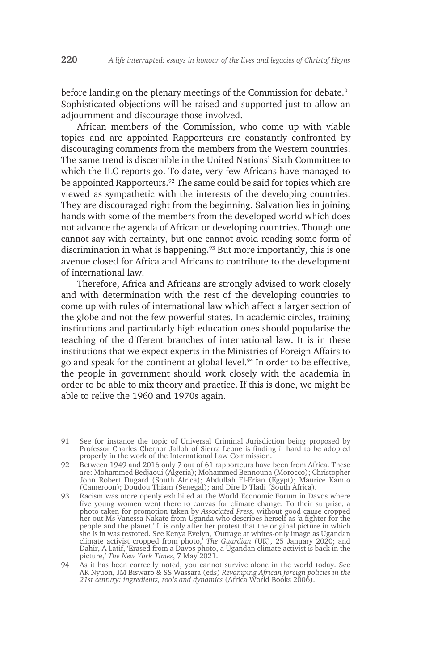before landing on the plenary meetings of the Commission for debate.<sup>91</sup> Sophisticated objections will be raised and supported just to allow an adjournment and discourage those involved.

African members of the Commission, who come up with viable topics and are appointed Rapporteurs are constantly confronted by discouraging comments from the members from the Western countries. The same trend is discernible in the United Nations' Sixth Committee to which the ILC reports go. To date, very few Africans have managed to be appointed Rapporteurs.<sup>92</sup> The same could be said for topics which are viewed as sympathetic with the interests of the developing countries. They are discouraged right from the beginning. Salvation lies in joining hands with some of the members from the developed world which does not advance the agenda of African or developing countries. Though one cannot say with certainty, but one cannot avoid reading some form of discrimination in what is happening.<sup>93</sup> But more importantly, this is one avenue closed for Africa and Africans to contribute to the development of international law.

Therefore, Africa and Africans are strongly advised to work closely and with determination with the rest of the developing countries to come up with rules of international law which affect a larger section of the globe and not the few powerful states. In academic circles, training institutions and particularly high education ones should popularise the teaching of the different branches of international law. It is in these institutions that we expect experts in the Ministries of Foreign Affairs to go and speak for the continent at global level.<sup>94</sup> In order to be effective, the people in government should work closely with the academia in order to be able to mix theory and practice. If this is done, we might be able to relive the 1960 and 1970s again.

- 92 Between 1949 and 2016 only 7 out of 61 rapporteurs have been from Africa. These are: Mohammed Bedjaoui (Algeria); Mohammed Bennouna (Morocco); Christopher John Robert Dugard (South Africa); Abdullah El-Erian (Egypt); Maurice Kamto (Cameroon); Doudou Thiam (Senegal); and Dire D Tladi (South Africa).
- 93 Racism was more openly exhibited at the World Economic Forum in Davos where five young women went there to canvas for climate change. To their surprise, a photo taken for promotion taken by *Associated Press*, without good cause cropped her out Ms Vanessa Nakate from Uganda who describes herself as 'a fighter for the people and the planet.' It is only after her protest that the original picture in which she is in was restored. See Kenya Evelyn, 'Outrage at whites-only image as Ugandan climate activist cropped from photo,' *The Guardian* (UK), 25 January 2020; and Dahir, A Latif, 'Erased from a Davos photo, a Ugandan climate activist is back in the picture,' *The New York Times*, 7 May 2021.
- 94 As it has been correctly noted, you cannot survive alone in the world today. See AK Nyuon, JM Biswaro & SS Wassara (eds) *Revamping African foreign policies in the 21st century: ingredients, tools and dynamics* (Africa World Books 2006).

<sup>91</sup> See for instance the topic of Universal Criminal Jurisdiction being proposed by Professor Charles Chernor Jalloh of Sierra Leone is finding it hard to be adopted properly in the work of the International Law Commission.